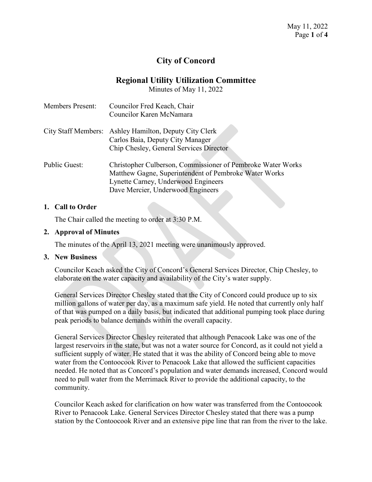# **City of Concord**

# **Regional Utility Utilization Committee**

Minutes of May 11, 2022

| <b>Members Present:</b> | Councilor Fred Keach, Chair<br>Councilor Karen McNamara                                                                                                                                          |
|-------------------------|--------------------------------------------------------------------------------------------------------------------------------------------------------------------------------------------------|
|                         | City Staff Members: Ashley Hamilton, Deputy City Clerk<br>Carlos Baia, Deputy City Manager                                                                                                       |
|                         | Chip Chesley, General Services Director                                                                                                                                                          |
| <b>Public Guest:</b>    | Christopher Culberson, Commissioner of Pembroke Water Works<br>Matthew Gagne, Superintendent of Pembroke Water Works<br>Lynette Carney, Underwood Engineers<br>Dave Mercier, Underwood Engineers |

## **1. Call to Order**

The Chair called the meeting to order at 3:30 P.M.

## **2. Approval of Minutes**

The minutes of the April 13, 2021 meeting were unanimously approved.

#### **3. New Business**

Councilor Keach asked the City of Concord's General Services Director, Chip Chesley, to elaborate on the water capacity and availability of the City's water supply.

General Services Director Chesley stated that the City of Concord could produce up to six million gallons of water per day, as a maximum safe yield. He noted that currently only half of that was pumped on a daily basis, but indicated that additional pumping took place during peak periods to balance demands within the overall capacity.

General Services Director Chesley reiterated that although Penacook Lake was one of the largest reservoirs in the state, but was not a water source for Concord, as it could not yield a sufficient supply of water. He stated that it was the ability of Concord being able to move water from the Contoocook River to Penacook Lake that allowed the sufficient capacities needed. He noted that as Concord's population and water demands increased, Concord would need to pull water from the Merrimack River to provide the additional capacity, to the community.

Councilor Keach asked for clarification on how water was transferred from the Contoocook River to Penacook Lake. General Services Director Chesley stated that there was a pump station by the Contoocook River and an extensive pipe line that ran from the river to the lake.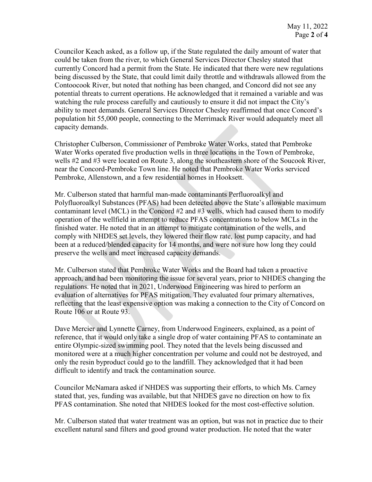Councilor Keach asked, as a follow up, if the State regulated the daily amount of water that could be taken from the river, to which General Services Director Chesley stated that currently Concord had a permit from the State. He indicated that there were new regulations being discussed by the State, that could limit daily throttle and withdrawals allowed from the Contoocook River, but noted that nothing has been changed, and Concord did not see any potential threats to current operations. He acknowledged that it remained a variable and was watching the rule process carefully and cautiously to ensure it did not impact the City's ability to meet demands. General Services Director Chesley reaffirmed that once Concord's population hit 55,000 people, connecting to the Merrimack River would adequately meet all capacity demands.

Christopher Culberson, Commissioner of Pembroke Water Works, stated that Pembroke Water Works operated five production wells in three locations in the Town of Pembroke, wells #2 and #3 were located on Route 3, along the southeastern shore of the Soucook River, near the Concord-Pembroke Town line. He noted that Pembroke Water Works serviced Pembroke, Allenstown, and a few residential homes in Hooksett.

Mr. Culberson stated that harmful man-made contaminants Perfluoroalkyl and Polyfluoroalkyl Substances (PFAS) had been detected above the State's allowable maximum contaminant level (MCL) in the Concord #2 and #3 wells, which had caused them to modify operation of the wellfield in attempt to reduce PFAS concentrations to below MCLs in the finished water. He noted that in an attempt to mitigate contamination of the wells, and comply with NHDES set levels, they lowered their flow rate, lost pump capacity, and had been at a reduced/blended capacity for 14 months, and were not sure how long they could preserve the wells and meet increased capacity demands.

Mr. Culberson stated that Pembroke Water Works and the Board had taken a proactive approach, and had been monitoring the issue for several years, prior to NHDES changing the regulations. He noted that in 2021, Underwood Engineering was hired to perform an evaluation of alternatives for PFAS mitigation. They evaluated four primary alternatives, reflecting that the least expensive option was making a connection to the City of Concord on Route 106 or at Route 93.

Dave Mercier and Lynnette Carney, from Underwood Engineers, explained, as a point of reference, that it would only take a single drop of water containing PFAS to contaminate an entire Olympic-sized swimming pool. They noted that the levels being discussed and monitored were at a much higher concentration per volume and could not be destroyed, and only the resin byproduct could go to the landfill. They acknowledged that it had been difficult to identify and track the contamination source.

Councilor McNamara asked if NHDES was supporting their efforts, to which Ms. Carney stated that, yes, funding was available, but that NHDES gave no direction on how to fix PFAS contamination. She noted that NHDES looked for the most cost-effective solution.

Mr. Culberson stated that water treatment was an option, but was not in practice due to their excellent natural sand filters and good ground water production. He noted that the water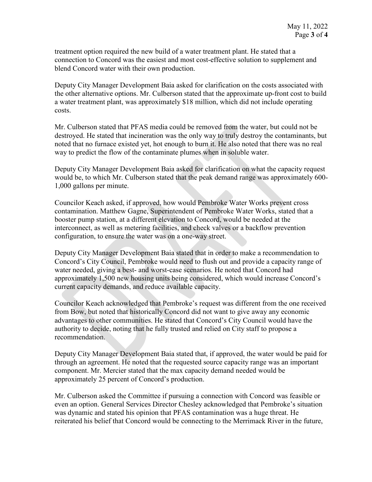treatment option required the new build of a water treatment plant. He stated that a connection to Concord was the easiest and most cost-effective solution to supplement and blend Concord water with their own production.

Deputy City Manager Development Baia asked for clarification on the costs associated with the other alternative options. Mr. Culberson stated that the approximate up-front cost to build a water treatment plant, was approximately \$18 million, which did not include operating costs.

Mr. Culberson stated that PFAS media could be removed from the water, but could not be destroyed. He stated that incineration was the only way to truly destroy the contaminants, but noted that no furnace existed yet, hot enough to burn it. He also noted that there was no real way to predict the flow of the contaminate plumes when in soluble water.

Deputy City Manager Development Baia asked for clarification on what the capacity request would be, to which Mr. Culberson stated that the peak demand range was approximately 600- 1,000 gallons per minute.

Councilor Keach asked, if approved, how would Pembroke Water Works prevent cross contamination. Matthew Gagne, Superintendent of Pembroke Water Works, stated that a booster pump station, at a different elevation to Concord, would be needed at the interconnect, as well as metering facilities, and check valves or a backflow prevention configuration, to ensure the water was on a one-way street.

Deputy City Manager Development Baia stated that in order to make a recommendation to Concord's City Council, Pembroke would need to flush out and provide a capacity range of water needed, giving a best- and worst-case scenarios. He noted that Concord had approximately 1,500 new housing units being considered, which would increase Concord's current capacity demands, and reduce available capacity.

Councilor Keach acknowledged that Pembroke's request was different from the one received from Bow, but noted that historically Concord did not want to give away any economic advantages to other communities. He stated that Concord's City Council would have the authority to decide, noting that he fully trusted and relied on City staff to propose a recommendation.

Deputy City Manager Development Baia stated that, if approved, the water would be paid for through an agreement. He noted that the requested source capacity range was an important component. Mr. Mercier stated that the max capacity demand needed would be approximately 25 percent of Concord's production.

Mr. Culberson asked the Committee if pursuing a connection with Concord was feasible or even an option. General Services Director Chesley acknowledged that Pembroke's situation was dynamic and stated his opinion that PFAS contamination was a huge threat. He reiterated his belief that Concord would be connecting to the Merrimack River in the future,